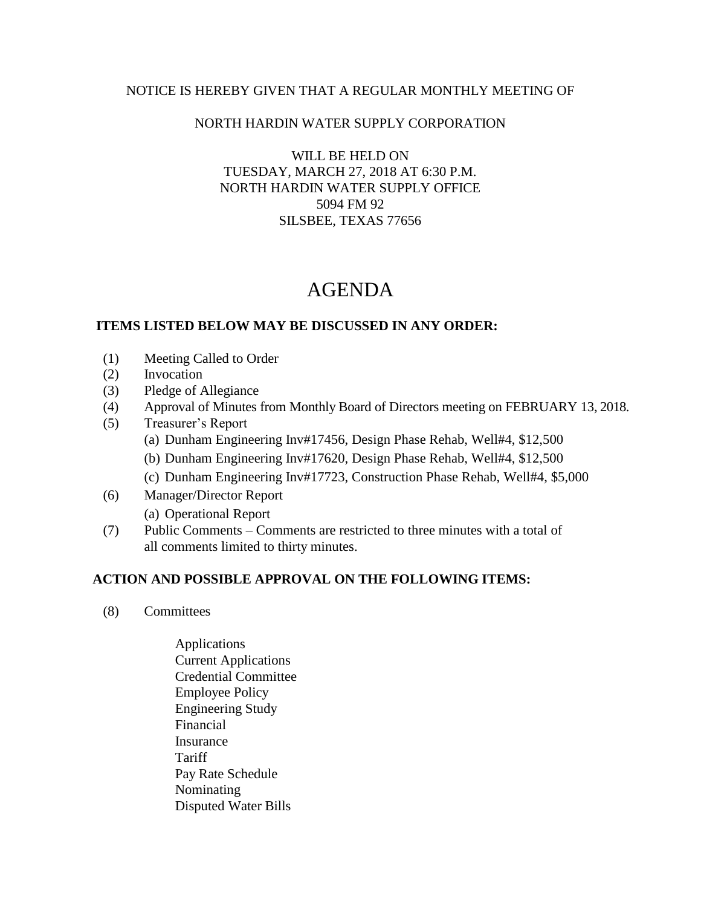### NOTICE IS HEREBY GIVEN THAT A REGULAR MONTHLY MEETING OF

### NORTH HARDIN WATER SUPPLY CORPORATION

WILL BE HELD ON TUESDAY, MARCH 27, 2018 AT 6:30 P.M. NORTH HARDIN WATER SUPPLY OFFICE 5094 FM 92 SILSBEE, TEXAS 77656

# AGENDA

#### **ITEMS LISTED BELOW MAY BE DISCUSSED IN ANY ORDER:**

- (1) Meeting Called to Order
- (2) Invocation
- (3) Pledge of Allegiance
- (4) Approval of Minutes from Monthly Board of Directors meeting on FEBRUARY 13, 2018.
- (5) Treasurer's Report
	- (a) Dunham Engineering Inv#17456, Design Phase Rehab, Well#4, \$12,500
	- (b) Dunham Engineering Inv#17620, Design Phase Rehab, Well#4, \$12,500
	- (c) Dunham Engineering Inv#17723, Construction Phase Rehab, Well#4, \$5,000
- (6) Manager/Director Report
	- (a) Operational Report
- (7) Public Comments Comments are restricted to three minutes with a total of all comments limited to thirty minutes.

## **ACTION AND POSSIBLE APPROVAL ON THE FOLLOWING ITEMS:**

- (8) Committees
	- Applications Current Applications Credential Committee Employee Policy Engineering Study Financial Insurance Tariff Pay Rate Schedule Nominating Disputed Water Bills